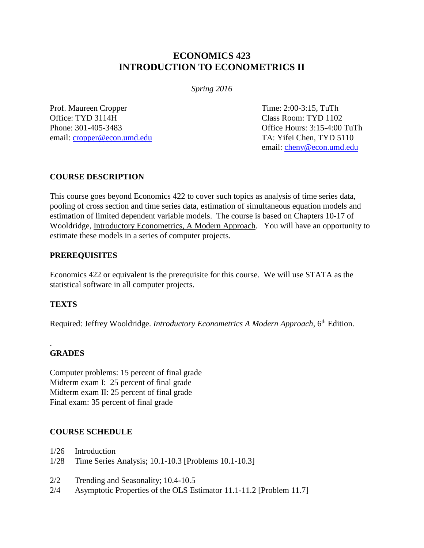# **ECONOMICS 423 INTRODUCTION TO ECONOMETRICS II**

*Spring 2016*

Prof. Maureen Cropper Time: 2:00-3:15, TuTh Office: TYD 3114H Class Room: TYD 1102 Phone: 301-405-3483 Office Hours: 3:15-4:00 TuTh email: [cropper@econ.umd.edu](mailto:cropper@econ.umd.edu) TA: Yifei Chen, TYD 5110

email: [cheny@econ.umd.edu](mailto:cheny@econ.umd.edu)

## **COURSE DESCRIPTION**

This course goes beyond Economics 422 to cover such topics as analysis of time series data, pooling of cross section and time series data, estimation of simultaneous equation models and estimation of limited dependent variable models. The course is based on Chapters 10-17 of Wooldridge, Introductory Econometrics, A Modern Approach. You will have an opportunity to estimate these models in a series of computer projects.

## **PREREQUISITES**

Economics 422 or equivalent is the prerequisite for this course. We will use STATA as the statistical software in all computer projects.

# **TEXTS**

Required: Jeffrey Wooldridge. *Introductory Econometrics A Modern Approach*, 6<sup>th</sup> Edition.

#### . **GRADES**

Computer problems: 15 percent of final grade Midterm exam I: 25 percent of final grade Midterm exam II: 25 percent of final grade Final exam: 35 percent of final grade

# **COURSE SCHEDULE**

1/26 Introduction

- 1/28 Time Series Analysis; 10.1-10.3 [Problems 10.1-10.3]
- 2/2 Trending and Seasonality; 10.4-10.5
- 2/4 Asymptotic Properties of the OLS Estimator 11.1-11.2 [Problem 11.7]